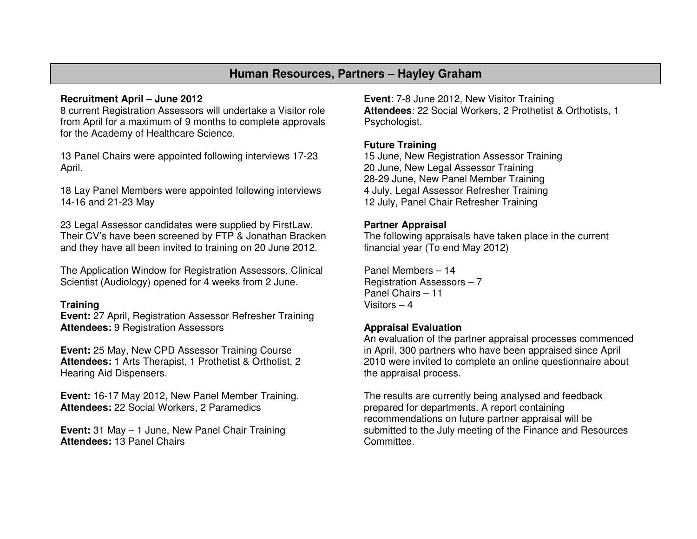# **Human Resources, Partners – Hayley Graham**

#### **Recruitment April – June 2012**

 8 current Registration Assessors will undertake a Visitor role from April for a maximum of 9 months to complete approvals for the Academy of Healthcare Science.

13 Panel Chairs were appointed following interviews 17-23 April.

18 Lay Panel Members were appointed following interviews 14-16 and 21-23 May

23 Legal Assessor candidates were supplied by FirstLaw. Their CV's have been screened by FTP & Jonathan Bracken and they have all been invited to training on 20 June 2012.

The Application Window for Registration Assessors, Clinical Scientist (Audiology) opened for 4 weeks from 2 June.

#### **Training**

 **Event:** 27 April, Registration Assessor Refresher Training **Attendees:** 9 Registration Assessors

**Event:** 25 May, New CPD Assessor Training Course **Attendees:** 1 Arts Therapist, 1 Prothetist & Orthotist, 2 Hearing Aid Dispensers.

**Event:** 16-17 May 2012, New Panel Member Training. **Attendees:** 22 Social Workers, 2 Paramedics

**Event:** 31 May – 1 June, New Panel Chair Training **Attendees:** 13 Panel Chairs

**Event**: 7-8 June 2012, New Visitor Training **Attendees**: 22 Social Workers, 2 Prothetist & Orthotists, 1 Psychologist.

## **Future Training**

 15 June, New Registration Assessor Training 20 June, New Legal Assessor Training 28-29 June, New Panel Member Training 4 July, Legal Assessor Refresher Training 12 July, Panel Chair Refresher Training

#### **Partner Appraisal**

 The following appraisals have taken place in the current financial year (To end May 2012)

Panel Members – 14 Registration Assessors – 7 Panel Chairs – 11 Visitors – 4

#### **Appraisal Evaluation**

 An evaluation of the partner appraisal processes commenced in April. 300 partners who have been appraised since April 2010 were invited to complete an online questionnaire about the appraisal process.

The results are currently being analysed and feedback prepared for departments. A report containing recommendations on future partner appraisal will be submitted to the July meeting of the Finance and Resources Committee.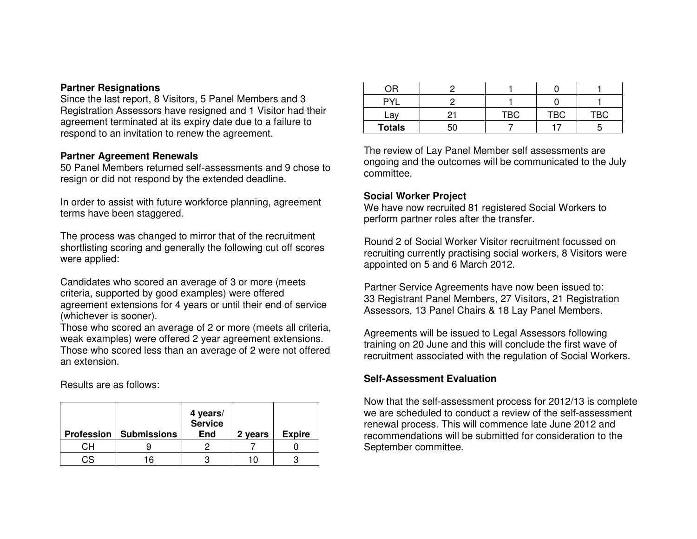#### **Partner Resignations**

 Since the last report, 8 Visitors, 5 Panel Members and 3 Registration Assessors have resigned and 1 Visitor had their agreement terminated at its expiry date due to a failure to respond to an invitation to renew the agreement.

## **Partner Agreement Renewals**

 50 Panel Members returned self-assessments and 9 chose to resign or did not respond by the extended deadline.

In order to assist with future workforce planning, agreement terms have been staggered.

The process was changed to mirror that of the recruitment shortlisting scoring and generally the following cut off scores were applied:

Candidates who scored an average of 3 or more (meets criteria, supported by good examples) were offered agreement extensions for 4 years or until their end of service (whichever is sooner).

 Those who scored an average of 2 or more (meets all criteria, weak examples) were offered 2 year agreement extensions. Those who scored less than an average of 2 were not offered an extension.

Results are as follows:

|    | <b>Profession   Submissions</b> | 4 years/<br>Service<br><b>End</b> | 2 years | <b>Expire</b> |
|----|---------------------------------|-----------------------------------|---------|---------------|
|    |                                 |                                   |         |               |
| CS | 16                              |                                   |         |               |

| ОR             |    |            |     |            |
|----------------|----|------------|-----|------------|
| PVI            |    |            |     |            |
| $\overline{2}$ | ⌒  | <b>TBC</b> | TBC | <b>TBC</b> |
| <b>Totals</b>  | 50 |            |     |            |

The review of Lay Panel Member self assessments are ongoing and the outcomes will be communicated to the July committee.

### **Social Worker Project**

 We have now recruited 81 registered Social Workers to perform partner roles after the transfer.

Round 2 of Social Worker Visitor recruitment focussed on recruiting currently practising social workers, 8 Visitors were appointed on 5 and 6 March 2012.

Partner Service Agreements have now been issued to: 33 Registrant Panel Members, 27 Visitors, 21 Registration Assessors, 13 Panel Chairs & 18 Lay Panel Members.

Agreements will be issued to Legal Assessors following training on 20 June and this will conclude the first wave of recruitment associated with the regulation of Social Workers.

## **Self-Assessment Evaluation**

Now that the self-assessment process for 2012/13 is complete we are scheduled to conduct a review of the self-assessment renewal process. This will commence late June 2012 and recommendations will be submitted for consideration to the September committee.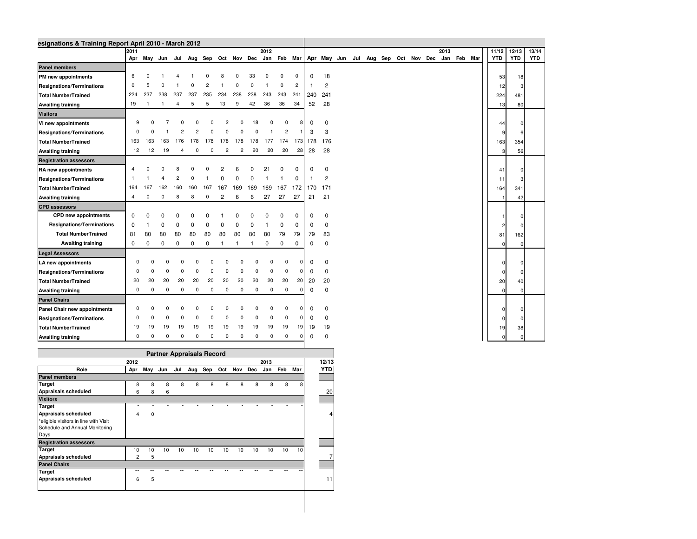| esignations & Training Report April 2010 - March 2012 |                |                |              |                |                                  |             |                |                |              |             |                |                |     |                |                                                                                     |  |  |  |      |             |                |            |            |
|-------------------------------------------------------|----------------|----------------|--------------|----------------|----------------------------------|-------------|----------------|----------------|--------------|-------------|----------------|----------------|-----|----------------|-------------------------------------------------------------------------------------|--|--|--|------|-------------|----------------|------------|------------|
|                                                       | 2011           |                |              |                |                                  |             |                |                |              | 2012        |                |                |     |                |                                                                                     |  |  |  | 2013 |             | 11/12          | 12/13      | 13/14      |
|                                                       |                |                |              |                |                                  |             |                |                |              |             |                |                |     |                | Apr May Jun Jul Aug Sep Oct Nov Dec Jan Feb Mar Apr May Jun Jul Aug Sep Oct Nov Dec |  |  |  |      | Jan Feb Mar | <b>YTD</b>     | <b>YTD</b> | <b>YTD</b> |
| <b>Panel members</b>                                  |                |                |              |                |                                  |             |                |                |              |             |                |                |     |                |                                                                                     |  |  |  |      |             |                |            |            |
| PM new appointments                                   | 6              | $\Omega$       |              |                |                                  |             |                | 0              | 33           | $\mathbf 0$ | 0              | $\mathbf 0$    | 0   | 18             |                                                                                     |  |  |  |      |             | 53             | 18         |            |
| <b>Resignations/Terminations</b>                      | $\Omega$       | 5              | $\Omega$     |                |                                  |             |                | $\Omega$       | $\mathbf 0$  |             | $\mathbf 0$    | $\overline{c}$ | -1  | $\overline{2}$ |                                                                                     |  |  |  |      |             | 12             |            |            |
| <b>Total NumberTrained</b>                            | 224            | 237            | 238          | 237            | 237                              | 235         | 234            | 238            | 238          | 243         | 243            | 241            | 240 | 241            |                                                                                     |  |  |  |      |             | 224            | 481        |            |
| <b>Awaiting training</b>                              | 19             | $\overline{1}$ | -1           | $\overline{4}$ | 5                                | 5           | 13             | 9              | 42           | 36          | 36             | 34             | 52  | 28             |                                                                                     |  |  |  |      |             | 13             | 80         |            |
| <b>Visitors</b>                                       |                |                |              |                |                                  |             |                |                |              |             |                |                |     |                |                                                                                     |  |  |  |      |             |                |            |            |
| VI new appointments                                   | 9              |                |              |                |                                  |             |                |                | 18           |             | $\Omega$       |                | 0   | 0              |                                                                                     |  |  |  |      |             | 44             |            |            |
| <b>Resignations/Terminations</b>                      | $\Omega$       |                |              |                |                                  |             |                |                | $\Omega$     |             | $\overline{2}$ |                | 3   | 3              |                                                                                     |  |  |  |      |             | 9              |            |            |
| <b>Total NumberTrained</b>                            | 163            | 163            | 163          | 176            | 178                              | 178         | 178            | 178            | 178          | 177         | 174            | 173            | 178 | 176            |                                                                                     |  |  |  |      |             | 163            | 354        |            |
| <b>Awaiting training</b>                              | 12             | 12             | 19           | 4              | 0                                | 0           | $\overline{c}$ | $\overline{c}$ | 20           | 20          | 20             | 28             | 28  | 28             |                                                                                     |  |  |  |      |             | 3              | 56         |            |
| <b>Registration assessors</b>                         |                |                |              |                |                                  |             |                |                |              |             |                |                |     |                |                                                                                     |  |  |  |      |             |                |            |            |
| RA new appointments                                   | $\overline{4}$ | $\Omega$       |              |                |                                  |             |                |                | $\Omega$     | 21          | 0              | 0              | 0   | $\mathbf 0$    |                                                                                     |  |  |  |      |             | 41             |            |            |
| <b>Resignations/Terminations</b>                      | -1             |                |              | $\overline{c}$ | n                                |             |                | $\Omega$       | $\Omega$     |             |                | $\Omega$       |     | $\overline{2}$ |                                                                                     |  |  |  |      |             | 11             |            |            |
| <b>Total NumberTrained</b>                            | 164            | 167            | 162          | 160            | 160                              | 167         | 167            | 169            | 169          | 169         | 167            | 172            | 170 | 171            |                                                                                     |  |  |  |      |             | 164            | 341        |            |
| <b>Awaiting training</b>                              | $\overline{4}$ | $\mathbf 0$    | 0            | 8              | 8                                | $\mathbf 0$ | $\overline{c}$ | 6              | 6            | 27          | 27             | 27             | 21  | 21             |                                                                                     |  |  |  |      |             |                | 42         |            |
| <b>CPD assessors</b>                                  |                |                |              |                |                                  |             |                |                |              |             |                |                |     |                |                                                                                     |  |  |  |      |             |                |            |            |
| CPD new appointments                                  | $\mathbf 0$    | $\Omega$       | <sup>0</sup> | n              | ŋ                                |             |                |                | $\Omega$     | $\Omega$    | 0              | 0              | 0   | $\mathbf 0$    |                                                                                     |  |  |  |      |             | 1              |            |            |
| Resignations/Terminations                             | $\mathbf 0$    |                | $\Omega$     | O              | $\Omega$                         |             |                |                | $\Omega$     | 1           | 0              | $\mathbf 0$    | 0   | $\mathbf 0$    |                                                                                     |  |  |  |      |             | $\overline{c}$ |            |            |
| <b>Total NumberTrained</b>                            | 81             | 80             | 80           | 80             | 80                               | 80          | 80             | 80             | 80           | 80          | 79             | 79             | 79  | 83             |                                                                                     |  |  |  |      |             | 81             | 162        |            |
| <b>Awaiting training</b>                              | $\mathbf 0$    | $\mathbf 0$    | $\mathbf 0$  | 0              | $\mathbf 0$                      | $\mathbf 0$ | $\overline{1}$ | $\mathbf{1}$   | $\mathbf{1}$ | 0           | 0              | 0              | 0   | $\mathbf 0$    |                                                                                     |  |  |  |      |             | $\Omega$       | $\Omega$   |            |
| <b>Legal Assessors</b>                                |                |                |              |                |                                  |             |                |                |              |             |                |                |     |                |                                                                                     |  |  |  |      |             |                |            |            |
| LA new appointments                                   | $\Omega$       | n              |              |                | $\Omega$                         |             |                |                |              | $\Omega$    | $\Omega$       |                | 0   | $\mathbf 0$    |                                                                                     |  |  |  |      |             | $\Omega$       |            |            |
| <b>Resignations/Terminations</b>                      | 0              | $\Omega$       | $\Omega$     |                | $\Omega$                         |             |                |                | $\Omega$     | $^{\circ}$  | $\Omega$       | $\Omega$       | 0   | $\mathbf 0$    |                                                                                     |  |  |  |      |             | $\Omega$       |            |            |
| <b>Total NumberTrained</b>                            | 20             | 20             | 20           | 20             | 20                               | 20          | 20             | 20             | 20           | 20          | 20             | 20             | 20  | 20             |                                                                                     |  |  |  |      |             | 20             | 40         |            |
| <b>Awaiting training</b>                              | 0              | 0              | 0            | $\mathbf 0$    | 0                                | 0           | 0              | 0              | 0            | $\mathbf 0$ | $\mathbf 0$    | $\Omega$       | 0   | $\mathbf 0$    |                                                                                     |  |  |  |      |             | $\Omega$       |            |            |
| <b>Panel Chairs</b>                                   |                |                |              |                |                                  |             |                |                |              |             |                |                |     |                |                                                                                     |  |  |  |      |             |                |            |            |
| Panel Chair new appointments                          | $\Omega$       |                |              |                |                                  |             |                |                |              | $\Omega$    | $\Omega$       |                | 0   | $\mathbf 0$    |                                                                                     |  |  |  |      |             | $\overline{0}$ |            |            |
| <b>Resignations/Terminations</b>                      | $\Omega$       |                |              |                |                                  |             |                |                | ŋ            | $\Omega$    | $\mathbf 0$    |                | 0   | $\mathbf 0$    |                                                                                     |  |  |  |      |             | $\overline{0}$ |            |            |
| <b>Total NumberTrained</b>                            | 19             | 19             | 19           | 19             | 19                               | 19          | 19             | 19             | 19           | 19          | 19             | 19             | 19  | 19             |                                                                                     |  |  |  |      |             | 19             | 38         |            |
| <b>Awaiting training</b>                              | $^{\circ}$     | 0              | 0            | $\mathbf 0$    | 0                                | 0           | 0              | 0              | 0            | $\mathbf 0$ | $\mathbf 0$    | $\Omega$       | 0   | $\mathbf 0$    |                                                                                     |  |  |  |      |             | $\Omega$       | $\Omega$   |            |
|                                                       |                |                |              |                |                                  |             |                |                |              |             |                |                |     |                |                                                                                     |  |  |  |      |             |                |            |            |
|                                                       |                |                |              |                | <b>Partner Appraisals Record</b> |             |                |                |              |             |                |                |     |                |                                                                                     |  |  |  |      |             |                |            |            |

**Role Apr May Jun Jul Aug Sep Oct Nov Dec Jan Feb Mar <sup>2013</sup>**

**\*** \* \* \* \* \* \* \* \* \* \* \* \* \* \*

<sup>6</sup> <sup>8</sup> <sup>6</sup>

<sup>4</sup> <sup>0</sup>

**2012**

<sup>2</sup> <sup>5</sup>

<sup>6</sup> <sup>5</sup>

8 8 8 8 8 8 8 8 8 8 8 8

10 10 10 10 10 10 10 10 10 10 10 10

\*\* \*\* \*\* \*\* \*\* \*\* \*\* \*\* \*\* \*\* \*\* \*\*

6 20

<sup>4</sup>

<sup>7</sup>

 $5$  and  $11$ 

**Panel membersTarget**

**VisitorsTarget**

Days

**Target**

**Appraisals scheduled**

**Appraisals scheduled**

**Registration assessors** 

**Appraisals scheduled**

**Appraisals scheduled**

**Panel ChairsTarget**

\*eligible visitors in line with Visit Schedule and Annual Monitoring

**12/13YTD**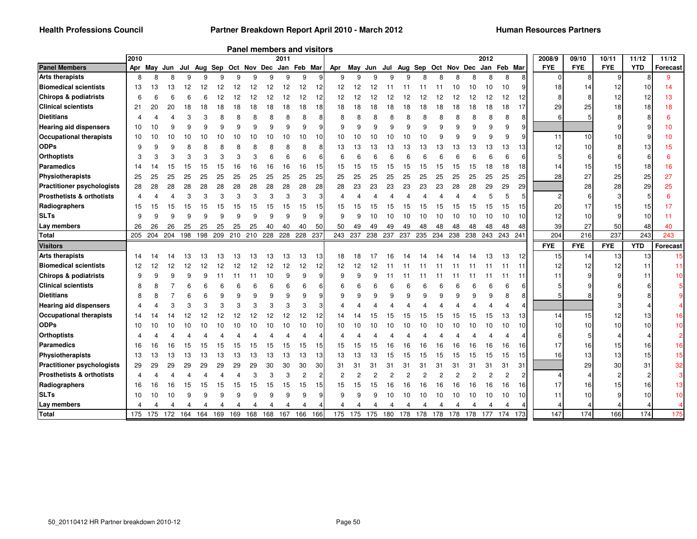|                                      | 2010 |     |             |     |     |     |     |     |     | 2011 |                                     |     |             |    |     |     |                                              |                |     |     |     | 2012 |         |                 | 2008/9         | 09/10      | 10/11      | 11/12      | 11/12            |
|--------------------------------------|------|-----|-------------|-----|-----|-----|-----|-----|-----|------|-------------------------------------|-----|-------------|----|-----|-----|----------------------------------------------|----------------|-----|-----|-----|------|---------|-----------------|----------------|------------|------------|------------|------------------|
| <b>Panel Members</b>                 |      |     | Apr May Jun |     |     |     |     |     |     |      | Jul Aug Sep Oct Nov Dec Jan Feb Mar |     | Apr May Jun |    |     |     | Jul Aug Sep Oct Nov Dec                      |                |     |     |     | Jan  | Feb Mar |                 | <b>FYE</b>     | <b>FYE</b> | <b>FYE</b> | <b>YTD</b> | Forecast         |
| <b>Arts therapists</b>               | 8    | 8   |             |     | q   | q   | q   | q   | 9   | 9    | 9                                   |     | 9           | q  | q   | 9   | q                                            | 8              | 8   |     |     | 8    | 8       | 8               | $\Omega$       | 8          | 9          |            | 9                |
| <b>Biomedical scientists</b>         | 13   | 13  | 13          |     |     |     | 12  | 12  | 12  | 12   | 12                                  |     | 12          | 12 | 12  |     |                                              |                |     | 10  |     | 10   | 10      |                 | 18             | 14         |            | 10         | 14               |
| <b>Chirops &amp; podiatrists</b>     | 6    | 6   |             |     |     |     |     |     | 12  | 12   | 12                                  | 12  | 12          | 12 | 12  | 12  | 12                                           | 12             | 12  |     |     | 12   | 12      | 12              |                |            |            | 12         | 13               |
| <b>Clinical scientists</b>           | 21   | 20  | 20          |     | 18  |     |     |     | 18  | 18   | 18                                  | 18  | 18          | 18 | 18  | 18  | 18                                           | 18             | 18  | 18  |     | 18   | 18      | 17              | 29             | 25         |            | 18         | 18               |
| <b>Dietitians</b>                    |      |     |             |     |     |     |     |     |     | 8    | 8                                   |     |             |    |     |     |                                              |                |     |     |     |      | 8       | 8               | 6              | 5          |            |            |                  |
| <b>Hearing aid dispensers</b>        | 10   | 10  |             |     |     |     |     |     |     | 9    | 9                                   | 9   | 9           |    |     |     |                                              | 9              |     |     |     |      | 9       | 9               |                |            |            |            | 10               |
| <b>Occupational therapists</b>       | 10   | 10  | 10          |     | 10  | 10  |     |     |     | 10   | 10                                  |     | 10          |    |     | 10  | 10                                           | 10             |     |     |     |      | 9       | 9               | 11             | 10         |            |            | 10 <sup>10</sup> |
| <b>ODPs</b>                          | 9    |     |             |     |     |     |     |     |     | 8    |                                     |     | 13          |    |     | 13  | 13                                           | 13             | 13  | 13  |     | 13   | 13      | 13              | 12             | 10         |            | 13         | 15               |
| <b>Orthoptists</b>                   | 3    | 3   |             |     |     |     |     |     |     | 6    | ĥ                                   | ี   | ี           |    |     |     |                                              | ĥ              |     |     |     |      | ĥ       | 6               |                | 6          |            |            | ĥ                |
| <b>Paramedics</b>                    | 14   | 14  | 15          | 15  | 15  | 15  | 16  | 16  | 16  | 16   | 16                                  | 15  | 15          | 15 | 15  | 15  | 15                                           | 15             | 15  | 15  | 15  | 18   | 18      | 18              | 14             | 15         | 15         | 18         | 16               |
| Physiotherapists                     | 25   | 25  | 25          | 25  | 25  | 25  | 25  | 25  | 25  | 25   | 25                                  | 25  | 25          | 25 | 25  | 25  | 25                                           | 25             | 25  | 25  | 25  | 25   | 25      | 25              | 28             | 27         | 25         | 25         | 27               |
| <b>Practitioner psychologists</b>    | 28   | 28  | 28          | 28  | 28  | 28  | 28  | 28  | 28  | 28   | 28                                  | 28  | 28          | 23 | 23  | 23  | 23                                           | 23             | 23  | 28  | 28  | 29   | 29      | 29              |                | 28         | 28         | 29         | 25               |
| <b>Prosthetists &amp; orthotists</b> | 4    |     |             |     | 3   | 3   |     |     |     | 3    | 3                                   |     |             |    |     |     |                                              |                |     |     |     |      | 5       | 5 <sub>l</sub>  | $\overline{c}$ |            |            |            |                  |
| Radiographers                        | 15   | 15  | 15          | 15  | 15  | 15  | 15  | 15  | 15  | 15   | 15                                  | 15  | 15          |    | 15  | 15  | 15                                           | 15             | 15  | 15  | 15  | 15   | 15      | 15              | 20             | 17         | 15         | 15         | 17               |
| <b>SLTs</b>                          | 9    | 9   |             |     | q   | 9   | q   |     |     | 9    | 9                                   | a   | 9           |    | 10  | 10  | 10                                           | 10             | 10  | 10  | 10  | 10   | 10      | 10              | 12             | 10         |            | 10         | 11               |
| Lay members                          | 26   | 26  | 26          | 25  | 25  | 25  | 25  | 25  | 40  | 40   | 40                                  | 50  | 50          | 49 | 49  | 49  | 49                                           | 48             | 48  | 48  | 48  | 48   | 48      | 48              | 39             | 27         | 50         | 48         | 40               |
| <b>Total</b>                         | 205  | 204 | 204         | 198 | 198 | 209 | 210 | 210 | 228 | 228  | 228 237                             |     | 243 237     |    | 238 | 237 | 237                                          | 235            | 234 | 238 | 238 | 243  | 243 241 |                 | 204            | 216        | 237        | 243        | 243              |
| <b>Visitors</b>                      |      |     |             |     |     |     |     |     |     |      |                                     |     |             |    |     |     |                                              |                |     |     |     |      |         |                 | <b>FYE</b>     | <b>FYE</b> | <b>FYE</b> | <b>YTD</b> | Forecast         |
| <b>Arts therapists</b>               | 14   | 14  |             |     | 13  | 13  | 13  | 13  | 13  | 13   | 13                                  | -13 | 18          | 18 |     | 16  |                                              |                |     |     |     | 13   | 13      | 12              | 15             | 14         | 13         | 13         | 15               |
| <b>Biomedical scientists</b>         | 12   | 12  | 12          | 12  | 12  |     | 12  |     | 12  | 12   | 12                                  | 12  | 12          | 12 |     |     |                                              |                |     |     |     |      |         | 11              | 12             | 12         | 12         | 11         | 11               |
| Chirops & podiatrists                | 9    |     |             |     |     |     |     |     | 10  |      | 9                                   |     | q           |    |     |     |                                              |                |     |     |     |      |         | 11              | 11             | 9          |            | 11         | 10               |
| <b>Clinical scientists</b>           | 8    |     |             |     |     |     |     |     |     |      |                                     |     |             |    |     |     |                                              |                |     |     |     |      |         |                 |                |            |            |            |                  |
| <b>Dietitians</b>                    |      |     |             |     |     |     |     |     |     | q    | q                                   |     | q           |    |     |     |                                              |                |     |     |     |      |         | 8               |                |            |            |            |                  |
| <b>Hearing aid dispensers</b>        |      |     |             |     |     |     |     |     |     | 3    | 3                                   |     |             |    |     |     |                                              |                |     |     |     |      |         | 4               |                |            |            |            |                  |
| <b>Occupational therapists</b>       | 14   |     |             |     |     |     |     |     |     | 12   | 12                                  |     | 14          |    |     |     |                                              |                |     |     |     | 15   | 13      | 13              | 14             | 15         |            | 13         | 16               |
| <b>ODPs</b>                          | 10   |     |             |     |     |     |     |     |     | 10   | 10                                  | 10  | 10          |    |     |     |                                              |                |     |     |     |      | 10      | 10              | 10             | 10         | 10         | 10         | 10               |
| <b>Orthoptists</b>                   |      |     |             |     |     |     |     |     |     |      |                                     |     |             |    |     |     |                                              |                |     |     |     |      |         | 4               |                | 5          |            |            |                  |
| <b>Paramedics</b>                    | 16   | 16  | 16          | 15  | 15  | 15  |     |     | 15  | 15   | 15                                  | 15  | 15          |    | 15  | 16  | 16                                           | 16             | 16  | 16  |     | 16   | 16      | 16              | 17             | 16         | 15         | 16         | 16               |
| Physiotherapists                     | 13   | 13  | 13          | 13  | 13  | 13  | 13  | 13  | 13  | 13   | 13                                  | 13  | 13          | 13 | 13  | 15  | 15                                           | 15             | 15  | 15  | 15  | 15   | 15      | 15              | 16             | 13         | 13         | 15         | 15               |
| <b>Practitioner psychologists</b>    | 29   | 29  | 29          | 29  | 29  | 29  | 29  | 29  | 30  | 30   | 30                                  | 30  | 31          | 31 | 31  | 31  | 31                                           | 3.             | 31  | 31  | 31  | 31   | 31      | 31              |                | 29         | 30         | 31         | 32               |
| <b>Prosthetists &amp; orthotists</b> | 4    |     |             |     |     |     |     |     | 3   | 3    | $\overline{c}$                      | 2   | 2           |    |     |     |                                              | $\overline{c}$ | 2   |     |     |      | 2       | 2               |                |            |            |            |                  |
| Radiographers                        | 16   | 16  | 16          |     | 15  |     |     |     | 15  | 15   | 15                                  | 15  | 15          |    |     | 16  | 16                                           | 16             | 16  | 16  | 16  | 16   | 16      | 16              | 17             | 16         |            | 16         | 13               |
| <b>SLTs</b>                          | 10   | 10  | 10          | 9   | 9   | 9   | 9   |     | 9   | 9    | 9                                   | 9   | 9           |    |     | 10  | 10                                           | 10             | 10  | 10  | 10  | 10   | 10      | 10 <sup>1</sup> | 11             | 10         |            | 10         | 10               |
|                                      |      |     |             |     |     |     |     |     |     |      |                                     |     |             |    |     |     |                                              |                |     |     |     |      |         |                 |                |            |            |            |                  |
| Lay members                          | 4    | 4   |             |     |     |     |     |     | 168 | 167  | $\overline{a}$<br>166               |     |             |    |     | 4   | 4<br>175 175 175 180 178 178 178 178 178 177 | 4              | 4   |     |     |      | 174     |                 | 147            | 174        | 166        | 174        | 175              |